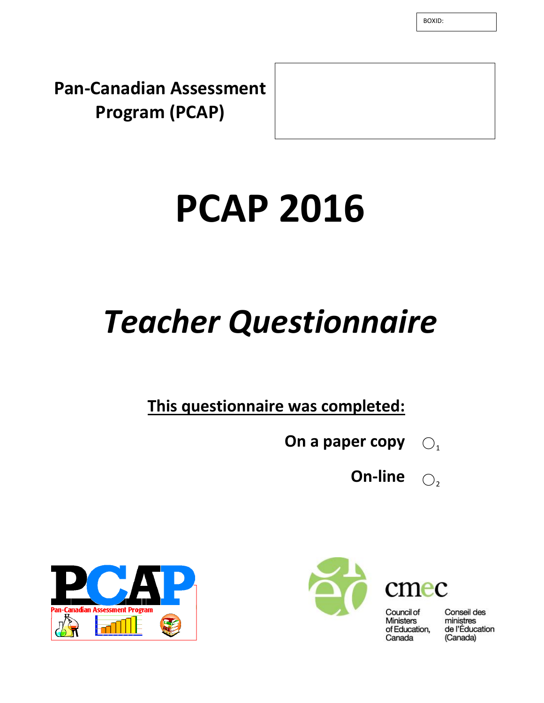BOXID:

**Pan-Canadian Assessment Program (PCAP)**

# **PCAP 2016**

## *Teacher Questionnaire*

**This questionnaire was completed:**

- **On a paper copy**  $\bigcirc$ <sub>1</sub>
	- **On-line**  $\bigcirc$







Council of **Ministers** of Education, Canada

Conseil des ministres de l'Éducation (Canada)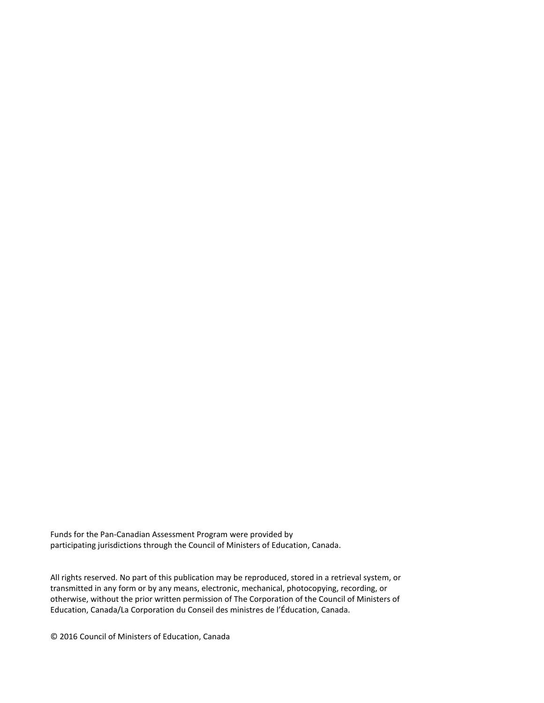Funds for the Pan-Canadian Assessment Program were provided by participating jurisdictions through the Council of Ministers of Education, Canada.

All rights reserved. No part of this publication may be reproduced, stored in a retrieval system, or transmitted in any form or by any means, electronic, mechanical, photocopying, recording, or otherwise, without the prior written permission of The Corporation of the Council of Ministers of Education, Canada/La Corporation du Conseil des ministres de l'Éducation, Canada.

© 2016 Council of Ministers of Education, Canada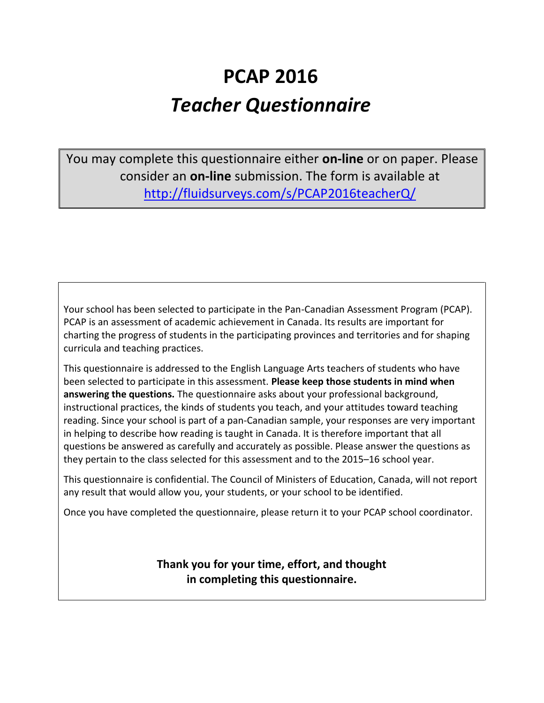### **PCAP 2016** *Teacher Questionnaire*

You may complete this questionnaire either **on-line** or on paper. Please consider an **on-line** submission. The form is available at <http://fluidsurveys.com/s/PCAP2016teacherQ/>

Your school has been selected to participate in the Pan-Canadian Assessment Program (PCAP). PCAP is an assessment of academic achievement in Canada. Its results are important for charting the progress of students in the participating provinces and territories and for shaping curricula and teaching practices.

This questionnaire is addressed to the English Language Arts teachers of students who have been selected to participate in this assessment. **Please keep those students in mind when answering the questions.** The questionnaire asks about your professional background, instructional practices, the kinds of students you teach, and your attitudes toward teaching reading. Since your school is part of a pan-Canadian sample, your responses are very important in helping to describe how reading is taught in Canada. It is therefore important that all questions be answered as carefully and accurately as possible. Please answer the questions as they pertain to the class selected for this assessment and to the 2015–16 school year.

This questionnaire is confidential. The Council of Ministers of Education, Canada, will not report any result that would allow you, your students, or your school to be identified.

Once you have completed the questionnaire, please return it to your PCAP school coordinator.

**Thank you for your time, effort, and thought in completing this questionnaire.**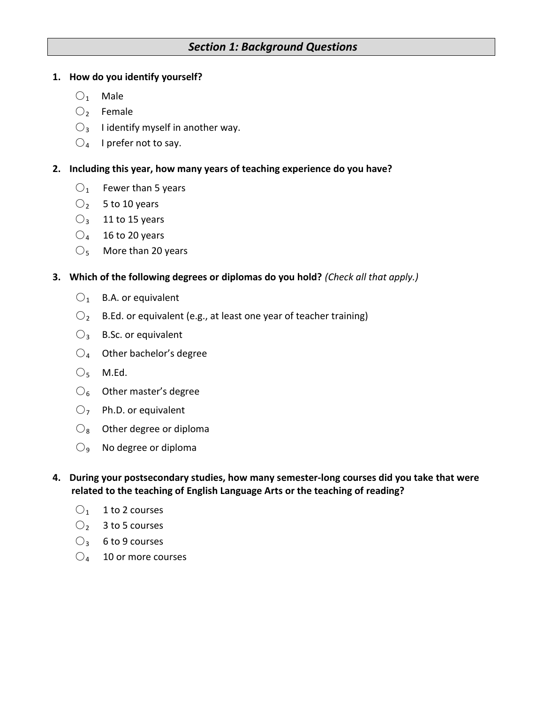#### *Section 1: Background Questions*

#### **1. How do you identify yourself?**

- $O<sub>1</sub>$  Male
- $\bigcirc$  Female
- $\bigcirc$ <sub>3</sub> I identify myself in another way.
- $\bigcirc_4$  I prefer not to say.

#### **2. Including this year, how many years of teaching experience do you have?**

- $O_1$  Fewer than 5 years
- $O<sub>2</sub>$  5 to 10 years
- $O_3$  11 to 15 years
- $\bigcirc_4$  16 to 20 years
- $\bigcirc$ <sub>5</sub> More than 20 years

#### **3. Which of the following degrees or diplomas do you hold?** *(Check all that apply.)*

- $O_1$  B.A. or equivalent
- $O_2$  B.Ed. or equivalent (e.g., at least one year of teacher training)
- $\bigcirc$ <sub>3</sub> B.Sc. or equivalent
- $\bigcirc_4$  Other bachelor's degree
- $O<sub>5</sub>$  M.Ed.
- $\mathrm{O}_6$  Other master's degree
- $O<sub>7</sub>$  Ph.D. or equivalent
- $\mathcal{O}_8$  Other degree or diploma
- $\bigcirc$ <sub>9</sub> No degree or diploma
- **4. During your postsecondary studies, how many semester-long courses did you take that were related to the teaching of English Language Arts or the teaching of reading?** 
	- $O_1$  1 to 2 courses
	- $\bigcirc_2$  3 to 5 courses
	- $\bigcirc$ <sub>3</sub> 6 to 9 courses
	- $\bigcirc_4$  10 or more courses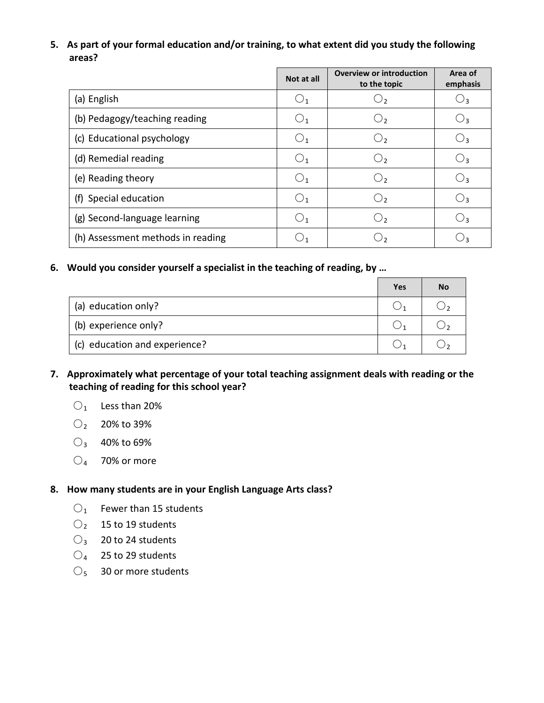#### **5. As part of your formal education and/or training, to what extent did you study the following areas?**

|                                   | Not at all     | <b>Overview or introduction</b><br>to the topic | Area of<br>emphasis |
|-----------------------------------|----------------|-------------------------------------------------|---------------------|
| (a) English                       | $\bigcup_1$    | ر ل                                             | 3 ل                 |
| (b) Pedagogy/teaching reading     | $\bigcup_1$    | U,                                              | ډ ل                 |
| (c) Educational psychology        | $\bigcup_1$    | $\bigcup_{2}$                                   | U٩                  |
| (d) Remedial reading              | O <sub>1</sub> | $O_{2}$                                         | $\bigcup_3$         |
| (e) Reading theory                | O <sub>1</sub> | $\bigcirc$                                      | ډل                  |
| (f) Special education             | O <sub>1</sub> | O <sub>2</sub>                                  | ډ ل                 |
| (g) Second-language learning      | $\cup$ 1       | $\langle$ )2                                    | ج ل                 |
| (h) Assessment methods in reading |                |                                                 |                     |

#### **6. Would you consider yourself a specialist in the teaching of reading, by …**

|                               | Yes | No |
|-------------------------------|-----|----|
| (a) education only?           |     |    |
| (b) experience only?          |     |    |
| (c) education and experience? |     |    |

#### **7. Approximately what percentage of your total teaching assignment deals with reading or the teaching of reading for this school year?**

- $O<sub>1</sub>$  Less than 20%
- $O_2$  20% to 39%
- $O_3$  40% to 69%
- $\bigcirc$ <sub>4</sub> 70% or more

#### **8. How many students are in your English Language Arts class?**

- $O<sub>1</sub>$  Fewer than 15 students
- $O_2$  15 to 19 students
- $\bigcirc$ <sub>3</sub> 20 to 24 students
- $\bigcirc_4$  25 to 29 students
- $\bigcirc$ <sub>5</sub> 30 or more students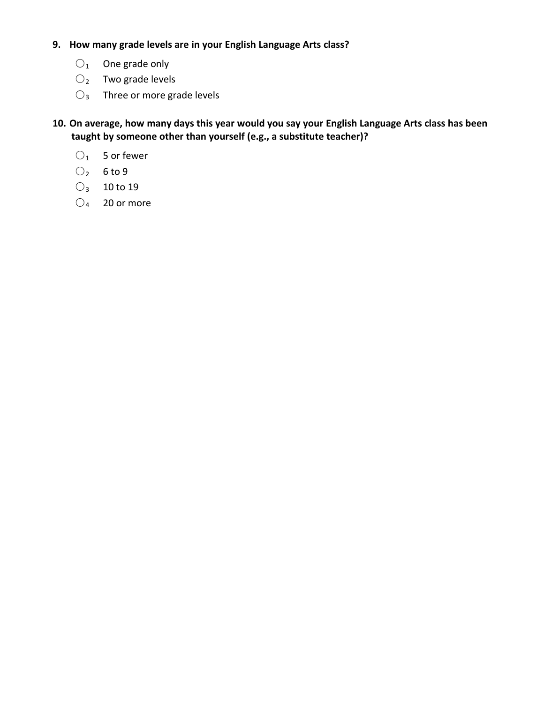#### **9. How many grade levels are in your English Language Arts class?**

- $O_1$  One grade only
- $O_2$  Two grade levels
- $O_3$  Three or more grade levels

**10. On average, how many days this year would you say your English Language Arts class has been taught by someone other than yourself (e.g., a substitute teacher)?**

- $O_1$  5 or fewer
- $O_2$  6 to 9
- $O_3$  10 to 19
- $\bigcirc_4$  20 or more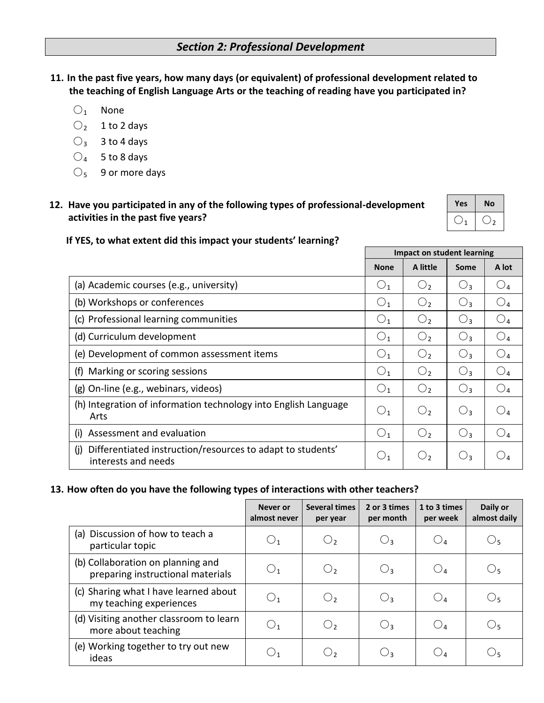**11. In the past five years, how many days (or equivalent) of professional development related to the teaching of English Language Arts or the teaching of reading have you participated in?**

- $O_1$  None
- $O_2$  1 to 2 days
- $O_3$  3 to 4 days
- $\bigcirc_4$  5 to 8 days
- $\bigcirc$ <sub>5</sub> 9 or more days
- **12. Have you participated in any of the following types of professional-development activities in the past five years?**

| Yes | No |
|-----|----|
|     |    |

#### **If YES, to what extent did this impact your students' learning?**

|                                                                                          | Impact on student learning |                |       |                        |
|------------------------------------------------------------------------------------------|----------------------------|----------------|-------|------------------------|
|                                                                                          | <b>None</b>                | A little       | Some  | A lot                  |
| (a) Academic courses (e.g., university)                                                  | $O_{1}$                    | $\bigcirc$     | $O_3$ | $\mathbin{\bigcirc}_4$ |
| (b) Workshops or conferences                                                             | $O_{1}$                    | $\bigcirc$     | $O_3$ | $\bigcirc_{4}$         |
| (c) Professional learning communities                                                    | O <sub>1</sub>             | O <sub>2</sub> | $O_3$ | $\bigcirc_4$           |
| (d) Curriculum development                                                               | O <sub>1</sub>             | O <sub>2</sub> | $O_3$ | $\bigcirc_{4}$         |
| (e) Development of common assessment items                                               | O <sub>1</sub>             | O <sub>2</sub> | $O_3$ | $\bigcirc_{4}$         |
| (f) Marking or scoring sessions                                                          | O <sub>1</sub>             | O <sub>2</sub> | $O_3$ | $\bigcirc_{4}$         |
| (g) On-line (e.g., webinars, videos)                                                     | $\bigcirc_1$               | O <sub>2</sub> | $O_3$ | $\bigcirc_{4}$         |
| (h) Integration of information technology into English Language<br>Arts                  | O <sub>1</sub>             | $\bigcup$      | $O_3$ | $\bigcup_{\varDelta}$  |
| Assessment and evaluation<br>(i)                                                         | $\bigcirc_1$               | O <sub>2</sub> | $O_3$ | $\mathbin{\bigcirc}_4$ |
| Differentiated instruction/resources to adapt to students'<br>(i)<br>interests and needs | $\cup$ 1                   |                | ∪3    |                        |

#### **13. How often do you have the following types of interactions with other teachers?**

|                                                                        | Never or<br>almost never | <b>Several times</b><br>per year | 2 or 3 times<br>per month | 1 to 3 times<br>per week | Daily or<br>almost daily |
|------------------------------------------------------------------------|--------------------------|----------------------------------|---------------------------|--------------------------|--------------------------|
| (a) Discussion of how to teach a<br>particular topic                   | $\cup_1$                 | $\bigcirc$                       | $O_3$                     | $O_4$                    | $\cup_5$                 |
| (b) Collaboration on planning and<br>preparing instructional materials | $\bigcup_1$              | O <sub>2</sub>                   | $O_3$                     | $O_4$                    | O <sub>5</sub>           |
| (c) Sharing what I have learned about<br>my teaching experiences       | $\cup$ 1                 | $\bigcirc$                       | $O_3$                     | $O_4$                    | $\bigcirc_{5}$           |
| (d) Visiting another classroom to learn<br>more about teaching         | $\cup$ 1                 | $\bigcirc$                       | $O_3$                     | $O_4$                    | Ő5                       |
| (e) Working together to try out new<br>ideas                           | ر (                      | О,                               | $\bigcirc$                | $O_4$                    | ∪5                       |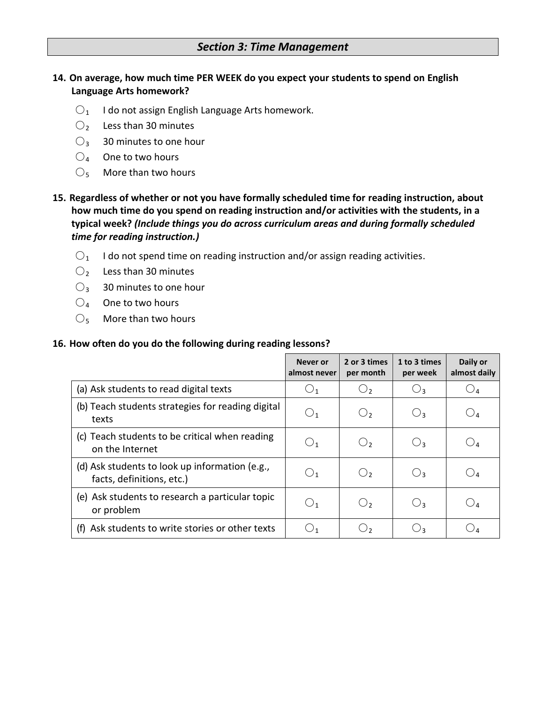#### *Section 3: Time Management*

#### **14. On average, how much time PER WEEK do you expect your students to spend on English Language Arts homework?**

- $O<sub>1</sub>$  I do not assign English Language Arts homework.
- $\bigcirc$  Less than 30 minutes
- $O_3$  30 minutes to one hour
- $\bigcirc_4$  One to two hours
- $\mathcal{O}_5$  More than two hours

#### **15. Regardless of whether or not you have formally scheduled time for reading instruction, about how much time do you spend on reading instruction and/or activities with the students, in a typical week?** *(Include things you do across curriculum areas and during formally scheduled time for reading instruction.)*

- $O_1$  I do not spend time on reading instruction and/or assign reading activities.
- $\bigcirc$  Less than 30 minutes
- $\bigcirc$ <sub>3</sub> 30 minutes to one hour
- $O_4$  One to two hours
- $\mathcal{O}_5$  More than two hours

#### **16. How often do you do the following during reading lessons?**

|                                                                             | Never or<br>almost never | 2 or 3 times<br>per month | 1 to 3 times<br>per week | Daily or<br>almost daily |
|-----------------------------------------------------------------------------|--------------------------|---------------------------|--------------------------|--------------------------|
| (a) Ask students to read digital texts                                      |                          | C)                        | $\bigcup_3$              | $\mathcal{Q}_4$          |
| (b) Teach students strategies for reading digital<br>texts                  | $\bigcup_1$              | $\bigcirc$                | $O_3$                    | $\bigcirc_4$             |
| (c) Teach students to be critical when reading<br>on the Internet           | $\bigcup_1$              | $\bigcirc$ ,              | $O_3$                    | $\cup$ 4                 |
| (d) Ask students to look up information (e.g.,<br>facts, definitions, etc.) | $\bigcup_1$              | $\bigcirc$                | $O_3$                    | $\cup$ 4                 |
| (e) Ask students to research a particular topic<br>or problem               | $\bigcup_1$              | $\bigcirc$                | $O_3$                    | $\cup$ 4                 |
| Ask students to write stories or other texts<br>(f)                         |                          | د ل                       | Uз                       |                          |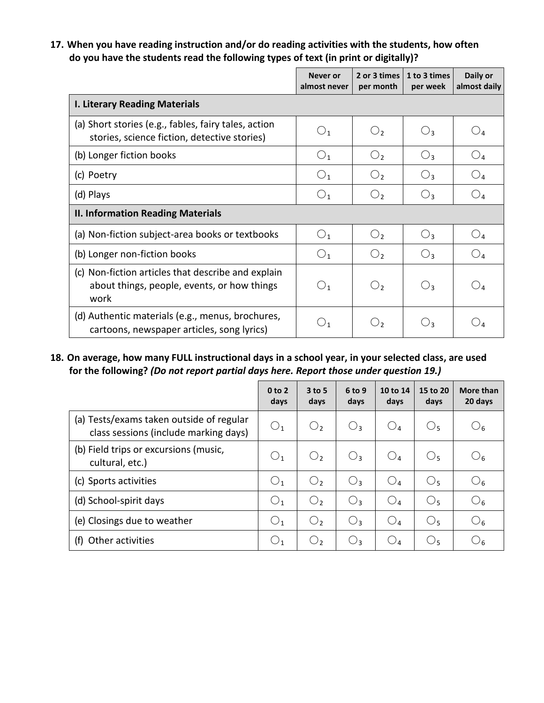#### **17. When you have reading instruction and/or do reading activities with the students, how often do you have the students read the following types of text (in print or digitally)?**

|                                                                                                           | Never or<br>almost never | 2 or 3 times<br>per month | 1 to 3 times<br>per week | Daily or<br>almost daily |
|-----------------------------------------------------------------------------------------------------------|--------------------------|---------------------------|--------------------------|--------------------------|
| <b>I. Literary Reading Materials</b>                                                                      |                          |                           |                          |                          |
| (a) Short stories (e.g., fables, fairy tales, action<br>stories, science fiction, detective stories)      | O <sub>1</sub>           | $\bigcirc$                | $O_3$                    | $O_4$                    |
| (b) Longer fiction books                                                                                  | O <sub>1</sub>           | O <sub>2</sub>            | $O_3$                    | O <sub>4</sub>           |
| (c) Poetry                                                                                                | O <sub>1</sub>           | O <sub>2</sub>            | $O_3$                    | $\bigcirc_{4}$           |
| (d) Plays                                                                                                 | $\bigcirc_1$             | O <sub>2</sub>            | $O_3$                    | $O_4$                    |
| <b>II. Information Reading Materials</b>                                                                  |                          |                           |                          |                          |
| (a) Non-fiction subject-area books or textbooks                                                           | O <sub>1</sub>           | O <sub>2</sub>            | $O_3$                    | O <sub>4</sub>           |
| (b) Longer non-fiction books                                                                              | O <sub>1</sub>           | $\bigcirc$                | $O_3$                    | $O_4$                    |
| (c) Non-fiction articles that describe and explain<br>about things, people, events, or how things<br>work | O <sub>1</sub>           | $\bigcirc$                | $O_3$                    | $\bigcirc$               |
| (d) Authentic materials (e.g., menus, brochures,<br>cartoons, newspaper articles, song lyrics)            | $\bigcirc_1$             | $\bigcirc$                | $O_3$                    | O4                       |

**18. On average, how many FULL instructional days in a school year, in your selected class, are used for the following?** *(Do not report partial days here. Report those under question 19.)*

|                                                                                   | 0 <sub>to</sub> 2<br>days | $3$ to 5<br>days | $6$ to 9<br>days | 10 to 14<br>days | 15 to 20<br>days | More than<br>20 days |
|-----------------------------------------------------------------------------------|---------------------------|------------------|------------------|------------------|------------------|----------------------|
| (a) Tests/exams taken outside of regular<br>class sessions (include marking days) | $\bigcirc_1$              | O <sub>2</sub>   | $O_3$            | $O_4$            | O <sub>5</sub>   | $\mathcal{O}_6$      |
| (b) Field trips or excursions (music,<br>cultural, etc.)                          | $\bigcirc_1$              | $\bigcirc$       | $O_3$            | $O_4$            | O <sub>5</sub>   | $\bigcirc_6$         |
| (c) Sports activities                                                             | O <sub>1</sub>            | $\bigcirc$       | $O_3$            | $\bigcirc_4$     | $\bigcirc_5$     | O <sub>6</sub>       |
| (d) School-spirit days                                                            | $\bigcirc_1$              | O <sub>2</sub>   | О,               | $\bigcirc_4$     | $\bigcirc$       | $\mathcal{O}_6$      |
| (e) Closings due to weather                                                       | $\bigcirc_1$              | $\bigcirc$       | $O_3$            | $\bigcirc$       | $\bigcirc$       | $\mathcal{O}_6$      |
| Other activities<br>(1)                                                           | $\bigcirc_1$              | O <sub>2</sub>   | $\bigcirc$       | $\bigcirc_4$     | $\bigcirc_5$     | $\mathcal{O}_6$      |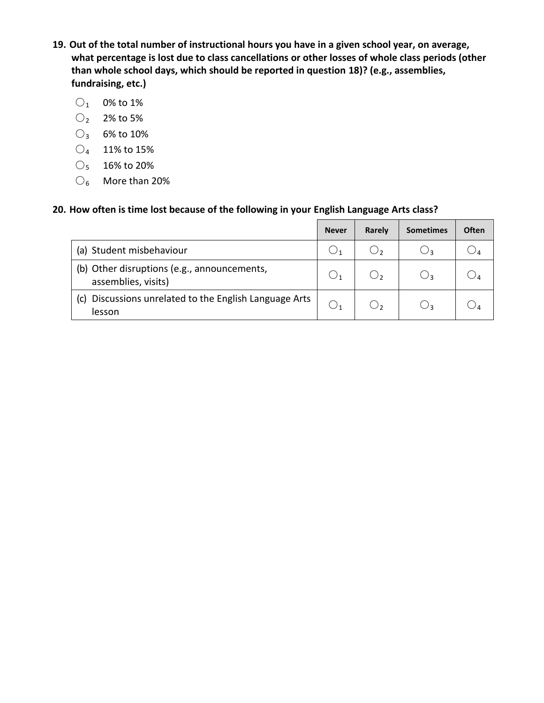- **19. Out of the total number of instructional hours you have in a given school year, on average, what percentage is lost due to class cancellations or other losses of whole class periods (other than whole school days, which should be reported in question 18)? (e.g., assemblies, fundraising, etc.)**
	- $O_1$  0% to 1%
	- $O_2$  2% to 5%
	- $O_3$  6% to 10%
	- $\bigcirc_4$  11% to 15%
	- $O_5$  16% to 20%
	- $\bigcirc$ <sub>6</sub> More than 20%

#### **20. How often is time lost because of the following in your English Language Arts class?**

|                                                                    | <b>Never</b> | Rarely | <b>Sometimes</b> | <b>Often</b> |
|--------------------------------------------------------------------|--------------|--------|------------------|--------------|
| (a) Student misbehaviour                                           |              | 、ノっ    | しりっ              |              |
| (b) Other disruptions (e.g., announcements,<br>assemblies, visits) |              | ر ر    | ډل               |              |
| (c) Discussions unrelated to the English Language Arts<br>lesson   |              |        | ډل               |              |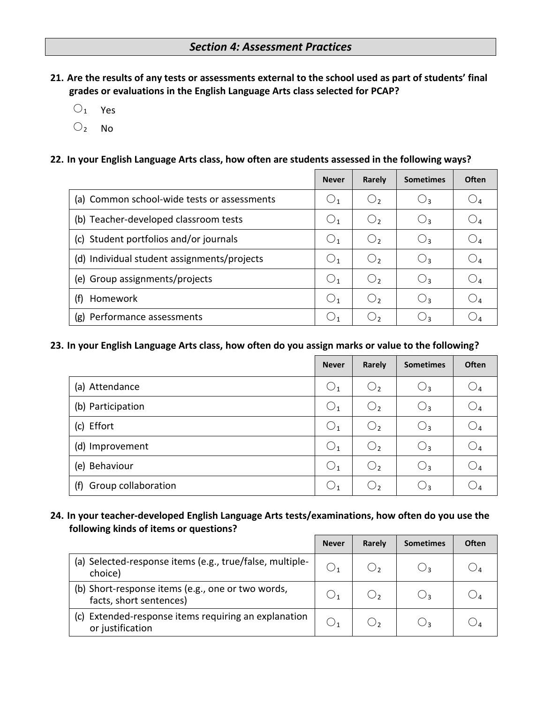- **21. Are the results of any tests or assessments external to the school used as part of students' final grades or evaluations in the English Language Arts class selected for PCAP?**
	- $O_1$  Yes
	- $O_2$  No

#### **22. In your English Language Arts class, how often are students assessed in the following ways?**

|                                             | <b>Never</b>   | Rarely     | <b>Sometimes</b> | Often |
|---------------------------------------------|----------------|------------|------------------|-------|
| (a) Common school-wide tests or assessments | $\bigcup_1$    | $\cup$     | $\bigcirc_3$     |       |
| (b) Teacher-developed classroom tests       | $\bigcirc_1$   | $\cup$     | $\bigcup_3$      |       |
| (c) Student portfolios and/or journals      | O <sub>1</sub> | $\bigcirc$ | Oз               |       |
| (d) Individual student assignments/projects | O <sub>1</sub> | $\cup$     | $O_3$            |       |
| (e) Group assignments/projects              | O <sub>1</sub> | $\cup$     | $\bigcirc$       |       |
| Homework<br>(f)                             | O <sub>1</sub> | $\bigcirc$ | Oз               |       |
| Performance assessments<br>(g)              | $\bigcup_1$    |            | ⊖२               |       |

#### **23. In your English Language Arts class, how often do you assign marks or value to the following?**

|                            | <b>Never</b>   | Rarely         | <b>Sometimes</b> | <b>Often</b>   |
|----------------------------|----------------|----------------|------------------|----------------|
| (a) Attendance             | O <sub>1</sub> | O <sub>2</sub> | $O_3$            | $\bigcirc_{4}$ |
| (b) Participation          | O <sub>1</sub> | O <sub>2</sub> | $O_3$            | $\bigcirc_{4}$ |
| (c) Effort                 | $\bigcirc_1$   | O <sub>2</sub> | $O_3$            | $O_4$          |
| (d) Improvement            | O <sub>1</sub> | O <sub>2</sub> | $O_3$            | $\bigcirc_{4}$ |
| (e) Behaviour              | O <sub>1</sub> | O <sub>2</sub> | $O_3$            | $\bigcirc_{4}$ |
| Group collaboration<br>(f) | $\bigcup_1$    | $\cup$         | $\bigcirc_3$     |                |

#### **24. In your teacher-developed English Language Arts tests/examinations, how often do you use the following kinds of items or questions?**

|                                                                              | <b>Never</b> | Rarely | <b>Sometimes</b> | <b>Often</b> |
|------------------------------------------------------------------------------|--------------|--------|------------------|--------------|
| (a) Selected-response items (e.g., true/false, multiple-<br>choice)          |              |        |                  |              |
| (b) Short-response items (e.g., one or two words,<br>facts, short sentences) |              |        | しりっ              |              |
| Extended-response items requiring an explanation<br>(c)<br>or justification  |              |        |                  |              |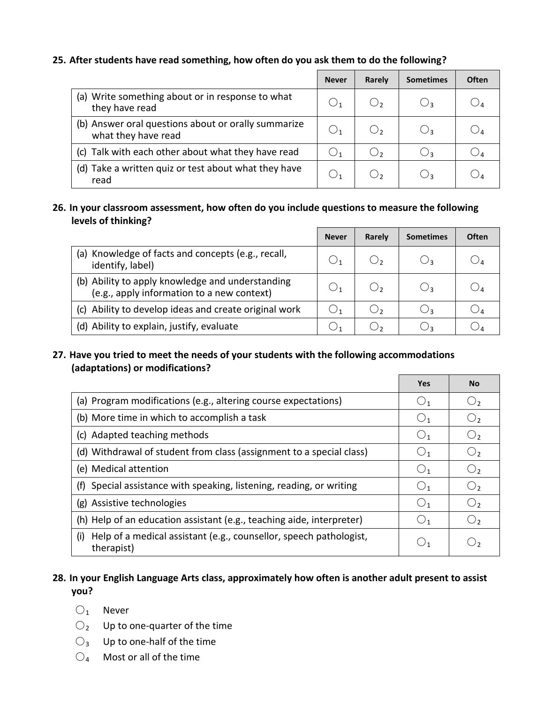#### **25. After students have read something, how often do you ask them to do the following?**

|                                                                            | <b>Never</b> | Rarely | <b>Sometimes</b> | Often                         |
|----------------------------------------------------------------------------|--------------|--------|------------------|-------------------------------|
| (a) Write something about or in response to what<br>they have read         | $\bigcup_1$  |        | Uз               |                               |
| (b) Answer oral questions about or orally summarize<br>what they have read | $\bigcirc_1$ |        | Uз               | $\bigcup$ <sub><i>A</i></sub> |
| Talk with each other about what they have read<br>(c)                      | $\cup$ 1     | $\cup$ | Uз               |                               |
| (d) Take a written quiz or test about what they have<br>read               |              |        | しっ               |                               |

#### **26. In your classroom assessment, how often do you include questions to measure the following levels of thinking?**

|                                                                                                | <b>Never</b> | Rarely | <b>Sometimes</b> | <b>Often</b> |
|------------------------------------------------------------------------------------------------|--------------|--------|------------------|--------------|
| (a) Knowledge of facts and concepts (e.g., recall,<br>identify, label)                         |              |        | ډ ل              |              |
| (b) Ability to apply knowledge and understanding<br>(e.g., apply information to a new context) | $\cup$ 1     | ر ل    | ∪3               |              |
| (c) Ability to develop ideas and create original work                                          |              | $\Box$ | ∪≀               |              |
| (d) Ability to explain, justify, evaluate                                                      |              |        |                  |              |

#### **27. Have you tried to meet the needs of your students with the following accommodations (adaptations) or modifications?**

|                                                                                         | <b>Yes</b>     | <b>No</b>      |
|-----------------------------------------------------------------------------------------|----------------|----------------|
| (a) Program modifications (e.g., altering course expectations)                          | O <sub>1</sub> | O <sub>2</sub> |
| (b) More time in which to accomplish a task                                             | $\bigcirc_1$   | O <sub>2</sub> |
| (c) Adapted teaching methods                                                            | O <sub>1</sub> | O <sub>2</sub> |
| (d) Withdrawal of student from class (assignment to a special class)                    | O <sub>1</sub> | O <sub>2</sub> |
| (e) Medical attention                                                                   | O <sub>1</sub> | O <sub>2</sub> |
| Special assistance with speaking, listening, reading, or writing<br>(f)                 | $\bigcup_1$    | O <sub>2</sub> |
| (g) Assistive technologies                                                              | O <sub>1</sub> | O <sub>2</sub> |
| (h) Help of an education assistant (e.g., teaching aide, interpreter)                   | O <sub>1</sub> | O <sub>2</sub> |
| Help of a medical assistant (e.g., counsellor, speech pathologist,<br>(i)<br>therapist) | $\cup_1$       | ○,             |

#### **28. In your English Language Arts class, approximately how often is another adult present to assist you?**

- $O_1$  Never
- $O_2$  Up to one-quarter of the time
- $\bigcirc$ <sub>3</sub> Up to one-half of the time
- $\bigcirc_4$  Most or all of the time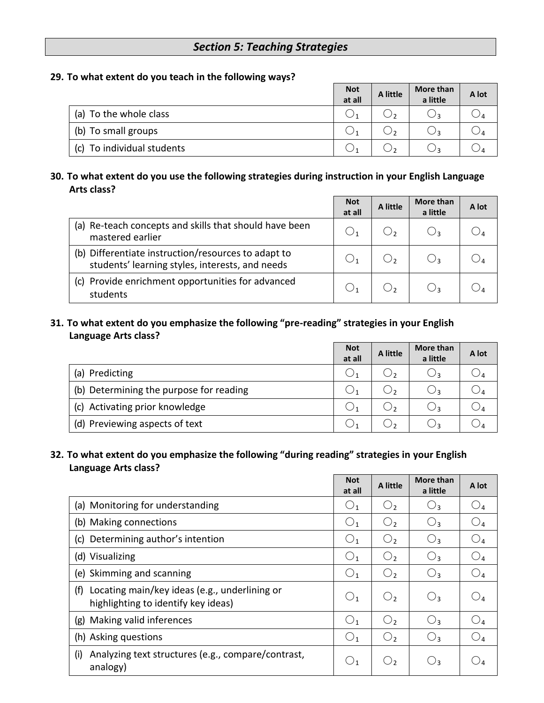#### *Section 5: Teaching Strategies*

#### **29. To what extent do you teach in the following ways?**

|                            | <b>Not</b><br>at all | A little | More than<br>a little | A lot |
|----------------------------|----------------------|----------|-----------------------|-------|
| (a) To the whole class     |                      |          |                       |       |
| (b) To small groups        |                      |          |                       |       |
| (c) To individual students |                      |          |                       |       |

#### **30. To what extent do you use the following strategies during instruction in your English Language Arts class?**

|                                                                                                        | <b>Not</b><br>at all | A little | More than<br>a little | A lot |
|--------------------------------------------------------------------------------------------------------|----------------------|----------|-----------------------|-------|
| Re-teach concepts and skills that should have been<br>(a)<br>mastered earlier                          |                      |          |                       |       |
| (b) Differentiate instruction/resources to adapt to<br>students' learning styles, interests, and needs |                      |          |                       |       |
| Provide enrichment opportunities for advanced<br>(c)<br>students                                       |                      |          |                       |       |

#### **31. To what extent do you emphasize the following "pre-reading" strategies in your English Language Arts class?**

|                                         | <b>Not</b><br>at all | A little | More than<br>a little | A lot |
|-----------------------------------------|----------------------|----------|-----------------------|-------|
| Predicting<br>(a)                       |                      |          |                       |       |
| (b) Determining the purpose for reading |                      |          |                       |       |
| (c) Activating prior knowledge          |                      |          |                       |       |
| (d) Previewing aspects of text          |                      |          |                       |       |

#### **32. To what extent do you emphasize the following "during reading" strategies in your English Language Arts class?**

|                                                                                             | <b>Not</b><br>at all | A little       | More than<br>a little | A lot                  |
|---------------------------------------------------------------------------------------------|----------------------|----------------|-----------------------|------------------------|
| (a) Monitoring for understanding                                                            | O <sub>1</sub>       | O <sub>2</sub> | $\bigcup_3$           | $\mathbin{\bigcirc}_4$ |
| (b) Making connections                                                                      | O <sub>1</sub>       | O <sub>2</sub> | $O_3$                 | $O_4$                  |
| Determining author's intention<br>(c)                                                       | O <sub>1</sub>       | O <sub>2</sub> | $O_3$                 | O <sub>4</sub>         |
| (d) Visualizing                                                                             | O <sub>1</sub>       | O <sub>2</sub> | $O_3$                 | O <sub>4</sub>         |
| (e) Skimming and scanning                                                                   | O <sub>1</sub>       | O <sub>2</sub> | $O_3$                 | $O_4$                  |
| (f)<br>Locating main/key ideas (e.g., underlining or<br>highlighting to identify key ideas) | O <sub>1</sub>       | O <sub>2</sub> | $O_3$                 | $\bigcirc_4$           |
| Making valid inferences<br>(g)                                                              | O <sub>1</sub>       | $\bigcirc$     | $O_3$                 | O <sub>4</sub>         |
| (h) Asking questions                                                                        | O <sub>1</sub>       | O <sub>2</sub> | $O_3$                 | $\bigcirc_{4}$         |
| Analyzing text structures (e.g., compare/contrast,<br>(i)<br>analogy)                       | $\bigcirc_1$         | O <sub>2</sub> | $\bigcirc_3$          |                        |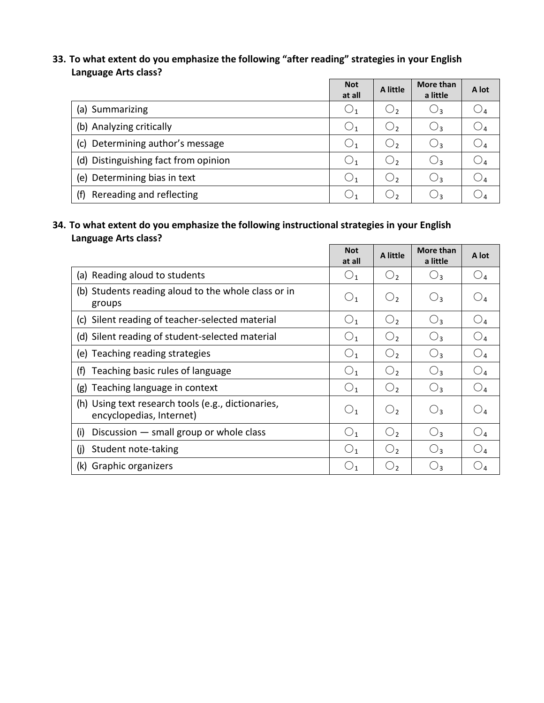#### **33. To what extent do you emphasize the following "after reading" strategies in your English Language Arts class?**

|                                      | <b>Not</b><br>at all | A little       | More than<br>a little | A lot           |
|--------------------------------------|----------------------|----------------|-----------------------|-----------------|
| (a) Summarizing                      | $\bigcup_1$          | $\cup_2$       | $\cup$ 3              | $\mathcal{Q}_4$ |
| (b) Analyzing critically             | $\bigcirc_1$         | O,             | ډ ل                   | $\mathcal{Q}_4$ |
| Determining author's message<br>(c)  | $\bigcirc_1$         | $\mathsf{O}_2$ | ډ ل                   | $\mathcal{Q}_4$ |
| (d) Distinguishing fact from opinion | $\bigcirc_1$         | $\bigcirc_2$   | $\cup_3$              | 94              |
| Determining bias in text<br>(e)      | $\bigcirc_1$         | О,             | ج ل                   | $\mathcal{Q}_4$ |
| Rereading and reflecting<br>(f)      |                      | د ل            | ډ ل                   |                 |

 $\overline{\mathbf{u}}$ 

#### **34. To what extent do you emphasize the following instructional strategies in your English Language Arts class?**  $\Box$

|                                                                                | <b>Not</b><br>at all | A little       | More than<br>a little | A lot                  |
|--------------------------------------------------------------------------------|----------------------|----------------|-----------------------|------------------------|
| (a) Reading aloud to students                                                  | $\bigcirc_1$         | O <sub>2</sub> | $\bigcirc_3$          | O <sub>4</sub>         |
| (b) Students reading aloud to the whole class or in<br>groups                  | O <sub>1</sub>       | $O_{2}$        | $O_3$                 | $O_4$                  |
| (c) Silent reading of teacher-selected material                                | O <sub>1</sub>       | O <sub>2</sub> | $O_3$                 | O <sub>4</sub>         |
| (d) Silent reading of student-selected material                                | O <sub>1</sub>       | O <sub>2</sub> | $O_3$                 | O <sub>4</sub>         |
| (e) Teaching reading strategies                                                | O <sub>1</sub>       | O <sub>2</sub> | $O_3$                 | O <sub>4</sub>         |
| Teaching basic rules of language<br>(f)                                        | O <sub>1</sub>       | O <sub>2</sub> | $O_3$                 | O <sub>4</sub>         |
| Teaching language in context<br>(g)                                            | O <sub>1</sub>       | O <sub>2</sub> | $O_3$                 | O <sub>4</sub>         |
| (h) Using text research tools (e.g., dictionaries,<br>encyclopedias, Internet) | O <sub>1</sub>       | O <sub>2</sub> | $O_3$                 | $O_4$                  |
| Discussion $-$ small group or whole class<br>(i)                               | O <sub>1</sub>       | О,             | $O_3$                 | $O_4$                  |
| (i)<br>Student note-taking                                                     | O <sub>1</sub>       | $O_{2}$        | $O_3$                 | O <sub>4</sub>         |
| (k) Graphic organizers                                                         | $\bigcirc_1$         | $\bigcirc_{2}$ | $O_3$                 | $\mathbin{\bigcirc}_4$ |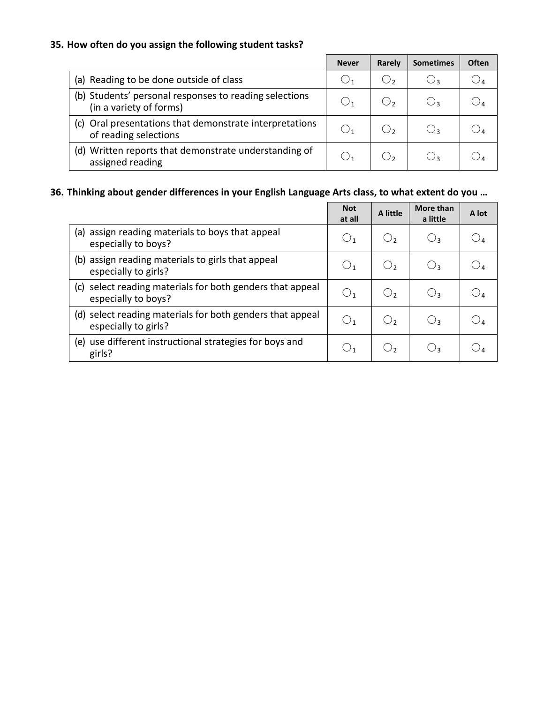#### **35. How often do you assign the following student tasks?**

|                                                                                   | <b>Never</b> | Rarely | <b>Sometimes</b> | <b>Often</b> |
|-----------------------------------------------------------------------------------|--------------|--------|------------------|--------------|
| (a) Reading to be done outside of class                                           |              | د ل    | ۶ ل              |              |
| (b) Students' personal responses to reading selections<br>(in a variety of forms) |              |        |                  |              |
| (c) Oral presentations that demonstrate interpretations<br>of reading selections  |              |        |                  |              |
| Written reports that demonstrate understanding of<br>(d)<br>assigned reading      |              |        |                  |              |

#### **36. Thinking about gender differences in your English Language Arts class, to what extent do you …**

|                                                                                     | <b>Not</b><br>at all | A little    | More than<br>a little | A lot |
|-------------------------------------------------------------------------------------|----------------------|-------------|-----------------------|-------|
| assign reading materials to boys that appeal<br>(a)<br>especially to boys?          | O <sub>1</sub>       | $\bigcup_2$ | $\bigcirc_3$          |       |
| (b) assign reading materials to girls that appeal<br>especially to girls?           | $\bigcup_1$          | $\cup$ ,    | $\bigcup$             |       |
| select reading materials for both genders that appeal<br>(C)<br>especially to boys? | $\bigcirc_1$         | $\cup$      | $\bigcup_3$           |       |
| (d) select reading materials for both genders that appeal<br>especially to girls?   | $\bigcup_1$          | $\bigcup$   | $\bigcup_3$           |       |
| use different instructional strategies for boys and<br>(e)<br>girls?                | $\cup_1$             | د ل         | دل                    |       |